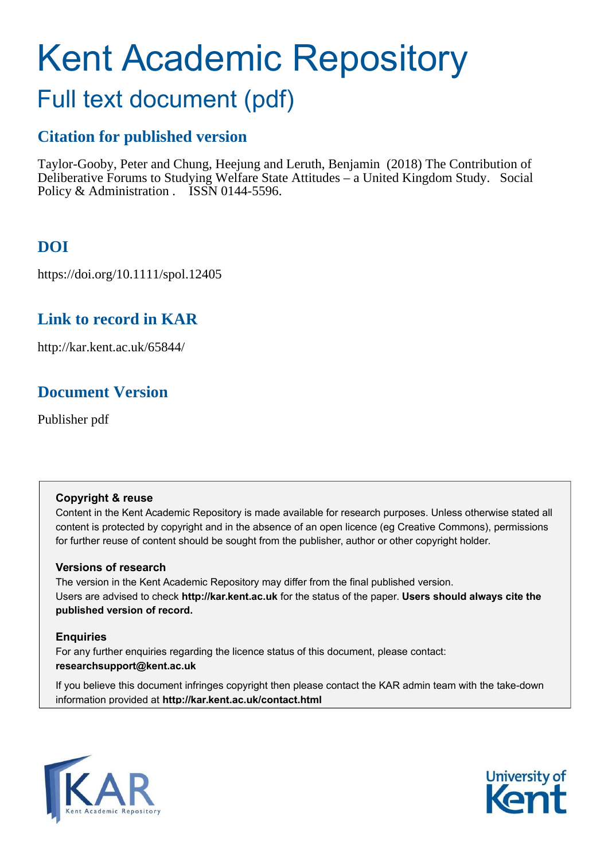# Kent Academic Repository

# Full text document (pdf)

# **Citation for published version**

Taylor-Gooby, Peter and Chung, Heejung and Leruth, Benjamin (2018) The Contribution of Deliberative Forums to Studying Welfare State Attitudes – a United Kingdom Study. Social Policy & Administration . ISSN 0144-5596.

# **DOI**

https://doi.org/10.1111/spol.12405

# **Link to record in KAR**

http://kar.kent.ac.uk/65844/

# **Document Version**

Publisher pdf

# **Copyright & reuse**

Content in the Kent Academic Repository is made available for research purposes. Unless otherwise stated all content is protected by copyright and in the absence of an open licence (eg Creative Commons), permissions for further reuse of content should be sought from the publisher, author or other copyright holder.

# **Versions of research**

The version in the Kent Academic Repository may differ from the final published version. Users are advised to check **http://kar.kent.ac.uk** for the status of the paper. **Users should always cite the published version of record.**

# **Enquiries**

For any further enquiries regarding the licence status of this document, please contact: **researchsupport@kent.ac.uk**

If you believe this document infringes copyright then please contact the KAR admin team with the take-down information provided at **http://kar.kent.ac.uk/contact.html**



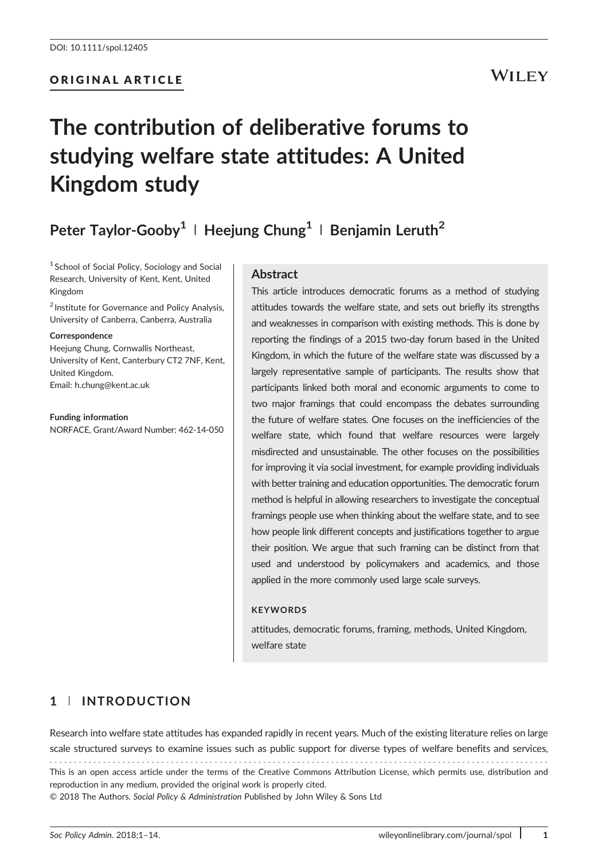## ORIGINAL ARTICLE

# The contribution of deliberative forums to studying welfare state attitudes: A United Kingdom study

# Peter Taylor-Gooby $^1$  | Heejung Chung $^1$  | Benjamin Leruth<sup>2</sup>

1 School of Social Policy, Sociology and Social Research, University of Kent, Kent, United Kingdom

<sup>2</sup> Institute for Governance and Policy Analysis, University of Canberra, Canberra, Australia

#### Correspondence

Heejung Chung, Cornwallis Northeast, University of Kent, Canterbury CT2 7NF, Kent, United Kingdom. Email: [h.chung@kent.ac.uk](mailto:h.chung@kent.ac.uk)

Funding information NORFACE, Grant/Award Number: 462‐14‐050

#### Abstract

This article introduces democratic forums as a method of studying attitudes towards the welfare state, and sets out briefly its strengths and weaknesses in comparison with existing methods. This is done by reporting the findings of a 2015 two-day forum based in the United Kingdom, in which the future of the welfare state was discussed by a largely representative sample of participants. The results show that participants linked both moral and economic arguments to come to two major framings that could encompass the debates surrounding the future of welfare states. One focuses on the inefficiencies of the welfare state, which found that welfare resources were largely misdirected and unsustainable. The other focuses on the possibilities for improving it via social investment, for example providing individuals with better training and education opportunities. The democratic forum method is helpful in allowing researchers to investigate the conceptual framings people use when thinking about the welfare state, and to see how people link different concepts and justifications together to argue their position. We argue that such framing can be distinct from that used and understood by policymakers and academics, and those applied in the more commonly used large scale surveys.

#### **KEYWORDS**

attitudes, democratic forums, framing, methods, United Kingdom, welfare state

## 1 | INTRODUCTION

Research into welfare state attitudes has expanded rapidly in recent years. Much of the existing literature relies on large scale structured surveys to examine issues such as public support for diverse types of welfare benefits and services, ------------------------------------------------------------------------------------------------------- This is an open access article under the terms of the [Creative Commons Attribution](http://creativecommons.org/licenses/by/4.0/) License, which permits use, distribution and reproduction in any medium, provided the original work is properly cited.

© 2018 The Authors. *Social Policy & Administration* Published by John Wiley & Sons Ltd

# WILEY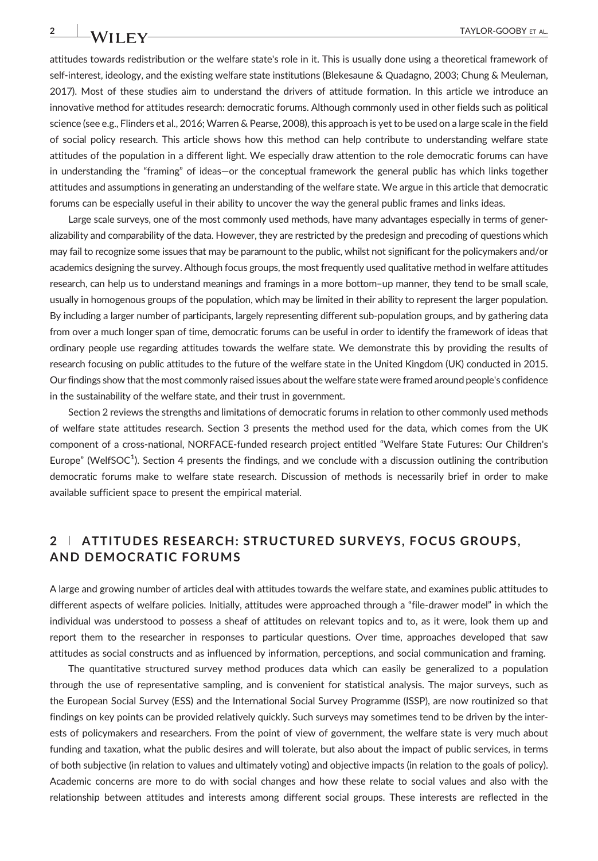attitudes towards redistribution or the welfare state's role in it. This is usually done using a theoretical framework of self-interest, ideology, and the existing welfare state institutions (Blekesaune & Quadagno, 2003; Chung & Meuleman, 2017). Most of these studies aim to understand the drivers of attitude formation. In this article we introduce an innovative method for attitudes research: democratic forums. Although commonly used in other fields such as political science (see e.g., Flinders et al., 2016; Warren & Pearse, 2008), this approach is yet to be used on a large scale in the field of social policy research. This article shows how this method can help contribute to understanding welfare state attitudes of the population in a different light. We especially draw attention to the role democratic forums can have in understanding the "framing" of ideas—or the conceptual framework the general public has which links together attitudes and assumptions in generating an understanding of the welfare state. We argue in this article that democratic forums can be especially useful in their ability to uncover the way the general public frames and links ideas.

Large scale surveys, one of the most commonly used methods, have many advantages especially in terms of generalizability and comparability of the data. However, they are restricted by the predesign and precoding of questions which may fail to recognize some issues that may be paramount to the public, whilst not significant for the policymakers and/or academics designing the survey. Although focus groups, the most frequently used qualitative method in welfare attitudes research, can help us to understand meanings and framings in a more bottom–up manner, they tend to be small scale, usually in homogenous groups of the population, which may be limited in their ability to represent the larger population. By including a larger number of participants, largely representing different sub‐population groups, and by gathering data from over a much longer span of time, democratic forums can be useful in order to identify the framework of ideas that ordinary people use regarding attitudes towards the welfare state. We demonstrate this by providing the results of research focusing on public attitudes to the future of the welfare state in the United Kingdom (UK) conducted in 2015. Our findings show that the most commonly raised issues about the welfare state were framed around people's confidence in the sustainability of the welfare state, and their trust in government.

Section 2 reviews the strengths and limitations of democratic forums in relation to other commonly used methods of welfare state attitudes research. Section 3 presents the method used for the data, which comes from the UK component of a cross‐national, NORFACE‐funded research project entitled "Welfare State Futures: Our Children's Europe" (WelfSOC<sup>1</sup>). Section 4 presents the findings, and we conclude with a discussion outlining the contribution democratic forums make to welfare state research. Discussion of methods is necessarily brief in order to make available sufficient space to present the empirical material.

## 2 | ATTITUDES RESEARCH: STRUCTURED SURVEYS, FOCUS GROUPS, AND DEMOCRATIC FORUMS

A large and growing number of articles deal with attitudes towards the welfare state, and examines public attitudes to different aspects of welfare policies. Initially, attitudes were approached through a "file‐drawer model" in which the individual was understood to possess a sheaf of attitudes on relevant topics and to, as it were, look them up and report them to the researcher in responses to particular questions. Over time, approaches developed that saw attitudes as social constructs and as influenced by information, perceptions, and social communication and framing.

The quantitative structured survey method produces data which can easily be generalized to a population through the use of representative sampling, and is convenient for statistical analysis. The major surveys, such as the European Social Survey (ESS) and the International Social Survey Programme (ISSP), are now routinized so that findings on key points can be provided relatively quickly. Such surveys may sometimes tend to be driven by the interests of policymakers and researchers. From the point of view of government, the welfare state is very much about funding and taxation, what the public desires and will tolerate, but also about the impact of public services, in terms of both subjective (in relation to values and ultimately voting) and objective impacts (in relation to the goals of policy). Academic concerns are more to do with social changes and how these relate to social values and also with the relationship between attitudes and interests among different social groups. These interests are reflected in the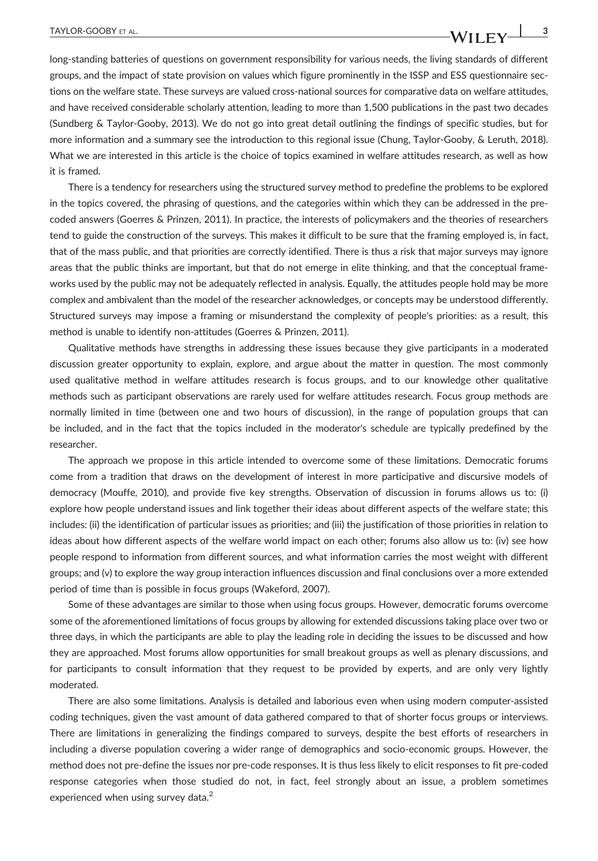long‐standing batteries of questions on government responsibility for various needs, the living standards of different groups, and the impact of state provision on values which figure prominently in the ISSP and ESS questionnaire sections on the welfare state. These surveys are valued cross-national sources for comparative data on welfare attitudes, and have received considerable scholarly attention, leading to more than 1,500 publications in the past two decades (Sundberg & Taylor‐Gooby, 2013). We do not go into great detail outlining the findings of specific studies, but for more information and a summary see the introduction to this regional issue (Chung, Taylor‐Gooby, & Leruth, 2018). What we are interested in this article is the choice of topics examined in welfare attitudes research, as well as how it is framed.

There is a tendency for researchers using the structured survey method to predefine the problems to be explored in the topics covered, the phrasing of questions, and the categories within which they can be addressed in the precoded answers (Goerres & Prinzen, 2011). In practice, the interests of policymakers and the theories of researchers tend to guide the construction of the surveys. This makes it difficult to be sure that the framing employed is, in fact, that of the mass public, and that priorities are correctly identified. There is thus a risk that major surveys may ignore areas that the public thinks are important, but that do not emerge in elite thinking, and that the conceptual frameworks used by the public may not be adequately reflected in analysis. Equally, the attitudes people hold may be more complex and ambivalent than the model of the researcher acknowledges, or concepts may be understood differently. Structured surveys may impose a framing or misunderstand the complexity of people's priorities: as a result, this method is unable to identify non‐attitudes (Goerres & Prinzen, 2011).

Qualitative methods have strengths in addressing these issues because they give participants in a moderated discussion greater opportunity to explain, explore, and argue about the matter in question. The most commonly used qualitative method in welfare attitudes research is focus groups, and to our knowledge other qualitative methods such as participant observations are rarely used for welfare attitudes research. Focus group methods are normally limited in time (between one and two hours of discussion), in the range of population groups that can be included, and in the fact that the topics included in the moderator's schedule are typically predefined by the researcher.

The approach we propose in this article intended to overcome some of these limitations. Democratic forums come from a tradition that draws on the development of interest in more participative and discursive models of democracy (Mouffe, 2010), and provide five key strengths. Observation of discussion in forums allows us to: (i) explore how people understand issues and link together their ideas about different aspects of the welfare state; this includes: (ii) the identification of particular issues as priorities; and (iii) the justification of those priorities in relation to ideas about how different aspects of the welfare world impact on each other; forums also allow us to: (iv) see how people respond to information from different sources, and what information carries the most weight with different groups; and (v) to explore the way group interaction influences discussion and final conclusions over a more extended period of time than is possible in focus groups (Wakeford, 2007).

Some of these advantages are similar to those when using focus groups. However, democratic forums overcome some of the aforementioned limitations of focus groups by allowing for extended discussions taking place over two or three days, in which the participants are able to play the leading role in deciding the issues to be discussed and how they are approached. Most forums allow opportunities for small breakout groups as well as plenary discussions, and for participants to consult information that they request to be provided by experts, and are only very lightly moderated.

There are also some limitations. Analysis is detailed and laborious even when using modern computer‐assisted coding techniques, given the vast amount of data gathered compared to that of shorter focus groups or interviews. There are limitations in generalizing the findings compared to surveys, despite the best efforts of researchers in including a diverse population covering a wider range of demographics and socio‐economic groups. However, the method does not pre‐define the issues nor pre‐code responses. It is thus less likely to elicit responses to fit pre‐coded response categories when those studied do not, in fact, feel strongly about an issue, a problem sometimes experienced when using survey data. $2$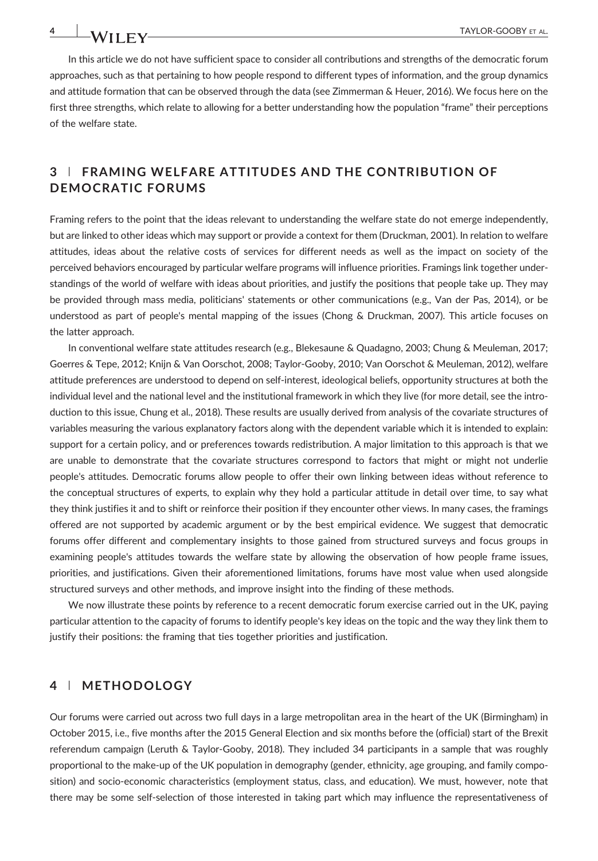In this article we do not have sufficient space to consider all contributions and strengths of the democratic forum approaches, such as that pertaining to how people respond to different types of information, and the group dynamics and attitude formation that can be observed through the data (see Zimmerman & Heuer, 2016). We focus here on the first three strengths, which relate to allowing for a better understanding how the population "frame" their perceptions of the welfare state.

# 3 | FRAMING WELFARE ATTITUDES AND THE CONTRIBUTION OF DEMOCRATIC FORUMS

Framing refers to the point that the ideas relevant to understanding the welfare state do not emerge independently, but are linked to other ideas which may support or provide a context for them (Druckman, 2001). In relation to welfare attitudes, ideas about the relative costs of services for different needs as well as the impact on society of the perceived behaviors encouraged by particular welfare programs will influence priorities. Framings link together understandings of the world of welfare with ideas about priorities, and justify the positions that people take up. They may be provided through mass media, politicians' statements or other communications (e.g., Van der Pas, 2014), or be understood as part of people's mental mapping of the issues (Chong & Druckman, 2007). This article focuses on the latter approach.

In conventional welfare state attitudes research (e.g., Blekesaune & Quadagno, 2003; Chung & Meuleman, 2017; Goerres & Tepe, 2012; Knijn & Van Oorschot, 2008; Taylor‐Gooby, 2010; Van Oorschot & Meuleman, 2012), welfare attitude preferences are understood to depend on self‐interest, ideological beliefs, opportunity structures at both the individual level and the national level and the institutional framework in which they live (for more detail, see the introduction to this issue, Chung et al., 2018). These results are usually derived from analysis of the covariate structures of variables measuring the various explanatory factors along with the dependent variable which it is intended to explain: support for a certain policy, and or preferences towards redistribution. A major limitation to this approach is that we are unable to demonstrate that the covariate structures correspond to factors that might or might not underlie people's attitudes. Democratic forums allow people to offer their own linking between ideas without reference to the conceptual structures of experts, to explain why they hold a particular attitude in detail over time, to say what they think justifies it and to shift or reinforce their position if they encounter other views. In many cases, the framings offered are not supported by academic argument or by the best empirical evidence. We suggest that democratic forums offer different and complementary insights to those gained from structured surveys and focus groups in examining people's attitudes towards the welfare state by allowing the observation of how people frame issues, priorities, and justifications. Given their aforementioned limitations, forums have most value when used alongside structured surveys and other methods, and improve insight into the finding of these methods.

We now illustrate these points by reference to a recent democratic forum exercise carried out in the UK, paying particular attention to the capacity of forums to identify people's key ideas on the topic and the way they link them to justify their positions: the framing that ties together priorities and justification.

## 4 | METHODOLOGY

Our forums were carried out across two full days in a large metropolitan area in the heart of the UK (Birmingham) in October 2015, i.e., five months after the 2015 General Election and six months before the (official) start of the Brexit referendum campaign (Leruth & Taylor‐Gooby, 2018). They included 34 participants in a sample that was roughly proportional to the make‐up of the UK population in demography (gender, ethnicity, age grouping, and family composition) and socio-economic characteristics (employment status, class, and education). We must, however, note that there may be some self‐selection of those interested in taking part which may influence the representativeness of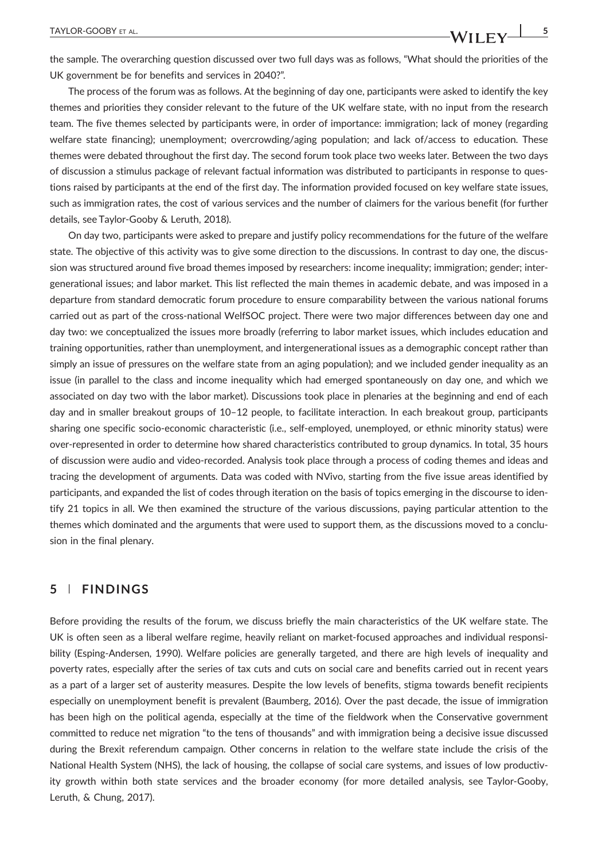the sample. The overarching question discussed over two full days was as follows, "What should the priorities of the UK government be for benefits and services in 2040?".

The process of the forum was as follows. At the beginning of day one, participants were asked to identify the key themes and priorities they consider relevant to the future of the UK welfare state, with no input from the research team. The five themes selected by participants were, in order of importance: immigration; lack of money (regarding welfare state financing); unemployment; overcrowding/aging population; and lack of/access to education. These themes were debated throughout the first day. The second forum took place two weeks later. Between the two days of discussion a stimulus package of relevant factual information was distributed to participants in response to questions raised by participants at the end of the first day. The information provided focused on key welfare state issues, such as immigration rates, the cost of various services and the number of claimers for the various benefit (for further details, see Taylor‐Gooby & Leruth, 2018).

On day two, participants were asked to prepare and justify policy recommendations for the future of the welfare state. The objective of this activity was to give some direction to the discussions. In contrast to day one, the discussion was structured around five broad themes imposed by researchers: income inequality; immigration; gender; intergenerational issues; and labor market. This list reflected the main themes in academic debate, and was imposed in a departure from standard democratic forum procedure to ensure comparability between the various national forums carried out as part of the cross‐national WelfSOC project. There were two major differences between day one and day two: we conceptualized the issues more broadly (referring to labor market issues, which includes education and training opportunities, rather than unemployment, and intergenerational issues as a demographic concept rather than simply an issue of pressures on the welfare state from an aging population); and we included gender inequality as an issue (in parallel to the class and income inequality which had emerged spontaneously on day one, and which we associated on day two with the labor market). Discussions took place in plenaries at the beginning and end of each day and in smaller breakout groups of 10–12 people, to facilitate interaction. In each breakout group, participants sharing one specific socio-economic characteristic (i.e., self-employed, unemployed, or ethnic minority status) were over‐represented in order to determine how shared characteristics contributed to group dynamics. In total, 35 hours of discussion were audio and video‐recorded. Analysis took place through a process of coding themes and ideas and tracing the development of arguments. Data was coded with NVivo, starting from the five issue areas identified by participants, and expanded the list of codes through iteration on the basis of topics emerging in the discourse to identify 21 topics in all. We then examined the structure of the various discussions, paying particular attention to the themes which dominated and the arguments that were used to support them, as the discussions moved to a conclusion in the final plenary.

## 5 | FINDINGS

Before providing the results of the forum, we discuss briefly the main characteristics of the UK welfare state. The UK is often seen as a liberal welfare regime, heavily reliant on market‐focused approaches and individual responsibility (Esping‐Andersen, 1990). Welfare policies are generally targeted, and there are high levels of inequality and poverty rates, especially after the series of tax cuts and cuts on social care and benefits carried out in recent years as a part of a larger set of austerity measures. Despite the low levels of benefits, stigma towards benefit recipients especially on unemployment benefit is prevalent (Baumberg, 2016). Over the past decade, the issue of immigration has been high on the political agenda, especially at the time of the fieldwork when the Conservative government committed to reduce net migration "to the tens of thousands" and with immigration being a decisive issue discussed during the Brexit referendum campaign. Other concerns in relation to the welfare state include the crisis of the National Health System (NHS), the lack of housing, the collapse of social care systems, and issues of low productivity growth within both state services and the broader economy (for more detailed analysis, see Taylor‐Gooby, Leruth, & Chung, 2017).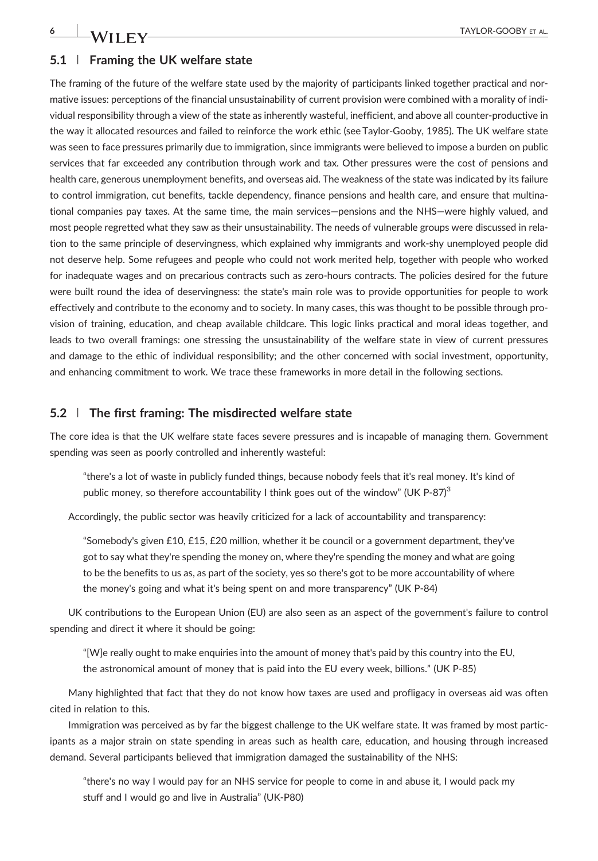#### 5.1 | Framing the UK welfare state

The framing of the future of the welfare state used by the majority of participants linked together practical and normative issues: perceptions of the financial unsustainability of current provision were combined with a morality of individual responsibility through a view of the state as inherently wasteful, inefficient, and above all counter‐productive in the way it allocated resources and failed to reinforce the work ethic (see Taylor‐Gooby, 1985). The UK welfare state was seen to face pressures primarily due to immigration, since immigrants were believed to impose a burden on public services that far exceeded any contribution through work and tax. Other pressures were the cost of pensions and health care, generous unemployment benefits, and overseas aid. The weakness of the state was indicated by its failure to control immigration, cut benefits, tackle dependency, finance pensions and health care, and ensure that multinational companies pay taxes. At the same time, the main services—pensions and the NHS—were highly valued, and most people regretted what they saw as their unsustainability. The needs of vulnerable groups were discussed in relation to the same principle of deservingness, which explained why immigrants and work‐shy unemployed people did not deserve help. Some refugees and people who could not work merited help, together with people who worked for inadequate wages and on precarious contracts such as zero-hours contracts. The policies desired for the future were built round the idea of deservingness: the state's main role was to provide opportunities for people to work effectively and contribute to the economy and to society. In many cases, this was thought to be possible through provision of training, education, and cheap available childcare. This logic links practical and moral ideas together, and leads to two overall framings: one stressing the unsustainability of the welfare state in view of current pressures and damage to the ethic of individual responsibility; and the other concerned with social investment, opportunity, and enhancing commitment to work. We trace these frameworks in more detail in the following sections.

#### 5.2 | The first framing: The misdirected welfare state

The core idea is that the UK welfare state faces severe pressures and is incapable of managing them. Government spending was seen as poorly controlled and inherently wasteful:

"there's a lot of waste in publicly funded things, because nobody feels that it's real money. It's kind of public money, so therefore accountability I think goes out of the window" (UK P-87)<sup>3</sup>

Accordingly, the public sector was heavily criticized for a lack of accountability and transparency:

"Somebody's given £10, £15, £20 million, whether it be council or a government department, they've got to say what they're spending the money on, where they're spending the money and what are going to be the benefits to us as, as part of the society, yes so there's got to be more accountability of where the money's going and what it's being spent on and more transparency" (UK P‐84)

UK contributions to the European Union (EU) are also seen as an aspect of the government's failure to control spending and direct it where it should be going:

"[W]e really ought to make enquiries into the amount of money that's paid by this country into the EU, the astronomical amount of money that is paid into the EU every week, billions." (UK P‐85)

Many highlighted that fact that they do not know how taxes are used and profligacy in overseas aid was often cited in relation to this.

Immigration was perceived as by far the biggest challenge to the UK welfare state. It was framed by most participants as a major strain on state spending in areas such as health care, education, and housing through increased demand. Several participants believed that immigration damaged the sustainability of the NHS:

"there's no way I would pay for an NHS service for people to come in and abuse it, I would pack my stuff and I would go and live in Australia" (UK‐P80)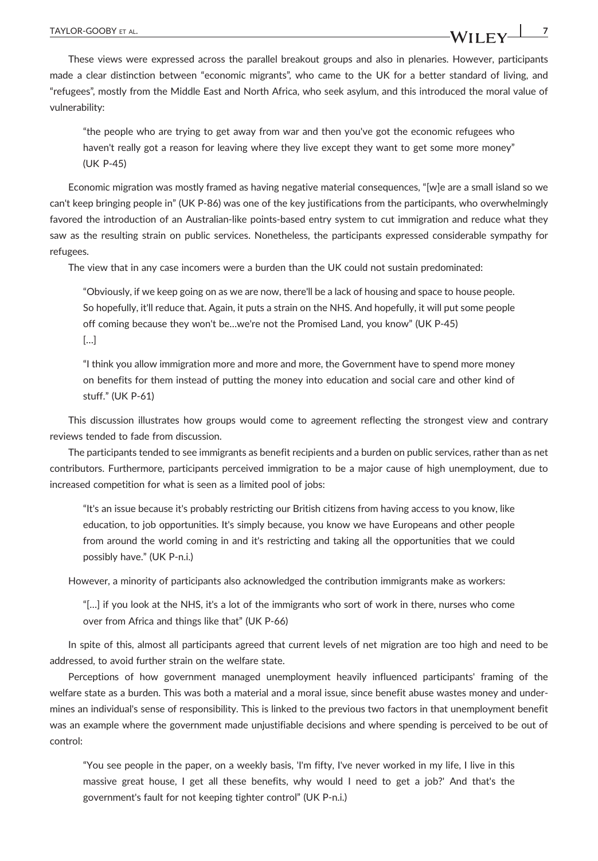These views were expressed across the parallel breakout groups and also in plenaries. However, participants made a clear distinction between "economic migrants", who came to the UK for a better standard of living, and "refugees", mostly from the Middle East and North Africa, who seek asylum, and this introduced the moral value of vulnerability:

"the people who are trying to get away from war and then you've got the economic refugees who haven't really got a reason for leaving where they live except they want to get some more money" (UK P‐45)

Economic migration was mostly framed as having negative material consequences, "[w]e are a small island so we can't keep bringing people in" (UK P-86) was one of the key justifications from the participants, who overwhelmingly favored the introduction of an Australian-like points-based entry system to cut immigration and reduce what they saw as the resulting strain on public services. Nonetheless, the participants expressed considerable sympathy for refugees.

The view that in any case incomers were a burden than the UK could not sustain predominated:

"Obviously, if we keep going on as we are now, there'll be a lack of housing and space to house people. So hopefully, it'll reduce that. Again, it puts a strain on the NHS. And hopefully, it will put some people off coming because they won't be…we're not the Promised Land, you know" (UK P‐45) […]

"I think you allow immigration more and more and more, the Government have to spend more money on benefits for them instead of putting the money into education and social care and other kind of stuff." (UK P‐61)

This discussion illustrates how groups would come to agreement reflecting the strongest view and contrary reviews tended to fade from discussion.

The participants tended to see immigrants as benefit recipients and a burden on public services, rather than as net contributors. Furthermore, participants perceived immigration to be a major cause of high unemployment, due to increased competition for what is seen as a limited pool of jobs:

"It's an issue because it's probably restricting our British citizens from having access to you know, like education, to job opportunities. It's simply because, you know we have Europeans and other people from around the world coming in and it's restricting and taking all the opportunities that we could possibly have." (UK P‐n.i.)

However, a minority of participants also acknowledged the contribution immigrants make as workers:

"[…] if you look at the NHS, it's a lot of the immigrants who sort of work in there, nurses who come over from Africa and things like that" (UK P‐66)

In spite of this, almost all participants agreed that current levels of net migration are too high and need to be addressed, to avoid further strain on the welfare state.

Perceptions of how government managed unemployment heavily influenced participants' framing of the welfare state as a burden. This was both a material and a moral issue, since benefit abuse wastes money and undermines an individual's sense of responsibility. This is linked to the previous two factors in that unemployment benefit was an example where the government made unjustifiable decisions and where spending is perceived to be out of control:

"You see people in the paper, on a weekly basis, 'I'm fifty, I've never worked in my life, I live in this massive great house, I get all these benefits, why would I need to get a job?' And that's the government's fault for not keeping tighter control" (UK P‐n.i.)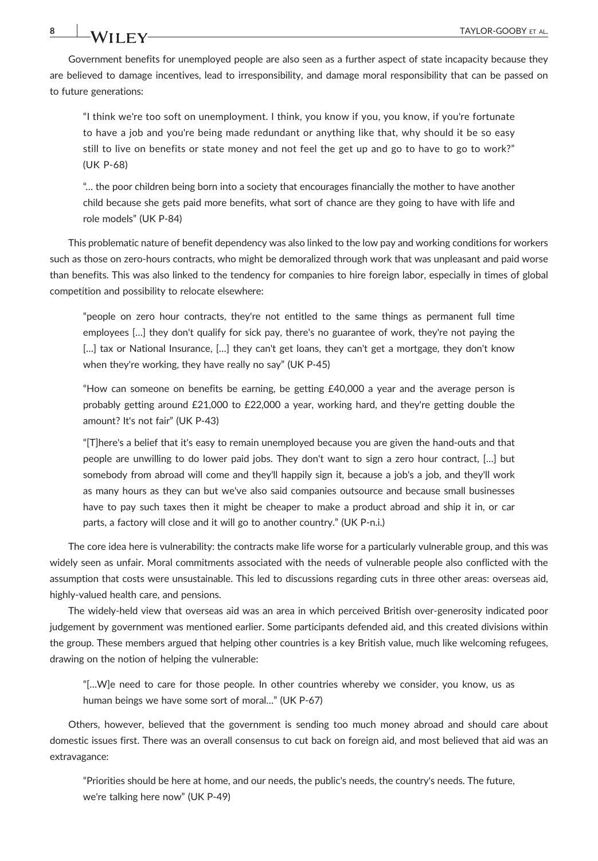## Government benefits for unemployed people are also seen as a further aspect of state incapacity because they are believed to damage incentives, lead to irresponsibility, and damage moral responsibility that can be passed on to future generations:

"I think we're too soft on unemployment. I think, you know if you, you know, if you're fortunate to have a job and you're being made redundant or anything like that, why should it be so easy still to live on benefits or state money and not feel the get up and go to have to go to work?" (UK P‐68)

"… the poor children being born into a society that encourages financially the mother to have another child because she gets paid more benefits, what sort of chance are they going to have with life and role models" (UK P‐84)

This problematic nature of benefit dependency was also linked to the low pay and working conditions for workers such as those on zero-hours contracts, who might be demoralized through work that was unpleasant and paid worse than benefits. This was also linked to the tendency for companies to hire foreign labor, especially in times of global competition and possibility to relocate elsewhere:

"people on zero hour contracts, they're not entitled to the same things as permanent full time employees […] they don't qualify for sick pay, there's no guarantee of work, they're not paying the [...] tax or National Insurance, [...] they can't get loans, they can't get a mortgage, they don't know when they're working, they have really no say" (UK P‐45)

"How can someone on benefits be earning, be getting £40,000 a year and the average person is probably getting around £21,000 to £22,000 a year, working hard, and they're getting double the amount? It's not fair" (UK P‐43)

"[T]here's a belief that it's easy to remain unemployed because you are given the hand‐outs and that people are unwilling to do lower paid jobs. They don't want to sign a zero hour contract, […] but somebody from abroad will come and they'll happily sign it, because a job's a job, and they'll work as many hours as they can but we've also said companies outsource and because small businesses have to pay such taxes then it might be cheaper to make a product abroad and ship it in, or car parts, a factory will close and it will go to another country." (UK P‐n.i.)

The core idea here is vulnerability: the contracts make life worse for a particularly vulnerable group, and this was widely seen as unfair. Moral commitments associated with the needs of vulnerable people also conflicted with the assumption that costs were unsustainable. This led to discussions regarding cuts in three other areas: overseas aid, highly‐valued health care, and pensions.

The widely‐held view that overseas aid was an area in which perceived British over‐generosity indicated poor judgement by government was mentioned earlier. Some participants defended aid, and this created divisions within the group. These members argued that helping other countries is a key British value, much like welcoming refugees, drawing on the notion of helping the vulnerable:

"[…W]e need to care for those people. In other countries whereby we consider, you know, us as human beings we have some sort of moral…" (UK P‐67)

Others, however, believed that the government is sending too much money abroad and should care about domestic issues first. There was an overall consensus to cut back on foreign aid, and most believed that aid was an extravagance:

"Priorities should be here at home, and our needs, the public's needs, the country's needs. The future, we're talking here now" (UK P‐49)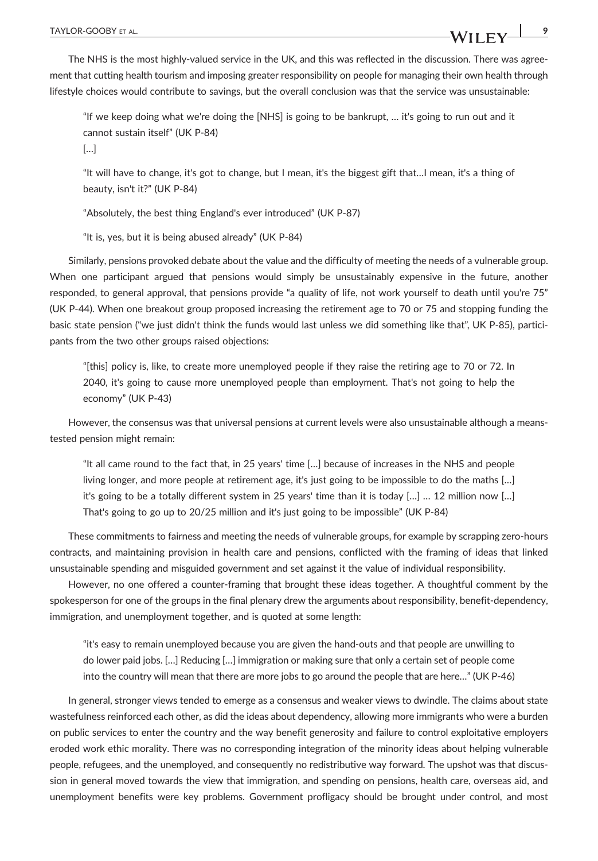The NHS is the most highly-valued service in the UK, and this was reflected in the discussion. There was agreement that cutting health tourism and imposing greater responsibility on people for managing their own health through lifestyle choices would contribute to savings, but the overall conclusion was that the service was unsustainable:

"If we keep doing what we're doing the [NHS] is going to be bankrupt, … it's going to run out and it cannot sustain itself" (UK P‐84)

[…]

"It will have to change, it's got to change, but I mean, it's the biggest gift that…I mean, it's a thing of beauty, isn't it?" (UK P‐84)

"Absolutely, the best thing England's ever introduced" (UK P‐87)

"It is, yes, but it is being abused already" (UK P‐84)

Similarly, pensions provoked debate about the value and the difficulty of meeting the needs of a vulnerable group. When one participant argued that pensions would simply be unsustainably expensive in the future, another responded, to general approval, that pensions provide "a quality of life, not work yourself to death until you're 75" (UK P‐44). When one breakout group proposed increasing the retirement age to 70 or 75 and stopping funding the basic state pension ("we just didn't think the funds would last unless we did something like that", UK P‐85), participants from the two other groups raised objections:

"[this] policy is, like, to create more unemployed people if they raise the retiring age to 70 or 72. In 2040, it's going to cause more unemployed people than employment. That's not going to help the economy" (UK P‐43)

However, the consensus was that universal pensions at current levels were also unsustainable although a means‐ tested pension might remain:

"It all came round to the fact that, in 25 years' time […] because of increases in the NHS and people living longer, and more people at retirement age, it's just going to be impossible to do the maths […] it's going to be a totally different system in 25 years' time than it is today […] … 12 million now […] That's going to go up to 20/25 million and it's just going to be impossible" (UK P‐84)

These commitments to fairness and meeting the needs of vulnerable groups, for example by scrapping zero‐hours contracts, and maintaining provision in health care and pensions, conflicted with the framing of ideas that linked unsustainable spending and misguided government and set against it the value of individual responsibility.

However, no one offered a counter‐framing that brought these ideas together. A thoughtful comment by the spokesperson for one of the groups in the final plenary drew the arguments about responsibility, benefit-dependency, immigration, and unemployment together, and is quoted at some length:

"it's easy to remain unemployed because you are given the hand‐outs and that people are unwilling to do lower paid jobs. […] Reducing […] immigration or making sure that only a certain set of people come into the country will mean that there are more jobs to go around the people that are here…" (UK P‐46)

In general, stronger views tended to emerge as a consensus and weaker views to dwindle. The claims about state wastefulness reinforced each other, as did the ideas about dependency, allowing more immigrants who were a burden on public services to enter the country and the way benefit generosity and failure to control exploitative employers eroded work ethic morality. There was no corresponding integration of the minority ideas about helping vulnerable people, refugees, and the unemployed, and consequently no redistributive way forward. The upshot was that discussion in general moved towards the view that immigration, and spending on pensions, health care, overseas aid, and unemployment benefits were key problems. Government profligacy should be brought under control, and most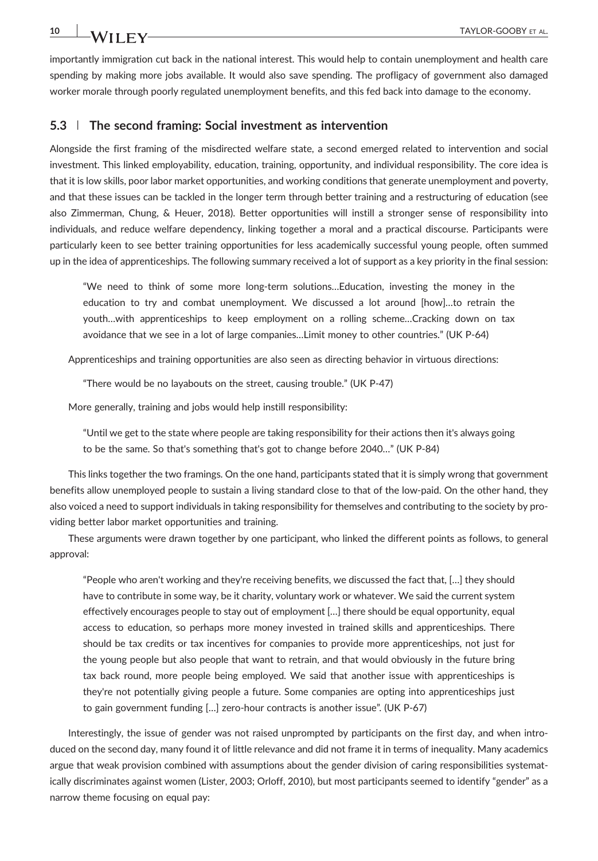importantly immigration cut back in the national interest. This would help to contain unemployment and health care spending by making more jobs available. It would also save spending. The profligacy of government also damaged worker morale through poorly regulated unemployment benefits, and this fed back into damage to the economy.

#### 5.3 | The second framing: Social investment as intervention

Alongside the first framing of the misdirected welfare state, a second emerged related to intervention and social investment. This linked employability, education, training, opportunity, and individual responsibility. The core idea is that it is low skills, poor labor market opportunities, and working conditions that generate unemployment and poverty, and that these issues can be tackled in the longer term through better training and a restructuring of education (see also Zimmerman, Chung, & Heuer, 2018). Better opportunities will instill a stronger sense of responsibility into individuals, and reduce welfare dependency, linking together a moral and a practical discourse. Participants were particularly keen to see better training opportunities for less academically successful young people, often summed up in the idea of apprenticeships. The following summary received a lot of support as a key priority in the final session:

"We need to think of some more long‐term solutions…Education, investing the money in the education to try and combat unemployment. We discussed a lot around [how]…to retrain the youth…with apprenticeships to keep employment on a rolling scheme…Cracking down on tax avoidance that we see in a lot of large companies…Limit money to other countries." (UK P‐64)

Apprenticeships and training opportunities are also seen as directing behavior in virtuous directions:

"There would be no layabouts on the street, causing trouble." (UK P‐47)

More generally, training and jobs would help instill responsibility:

"Until we get to the state where people are taking responsibility for their actions then it's always going to be the same. So that's something that's got to change before 2040…" (UK P‐84)

This links together the two framings. On the one hand, participants stated that it is simply wrong that government benefits allow unemployed people to sustain a living standard close to that of the low-paid. On the other hand, they also voiced a need to support individuals in taking responsibility for themselves and contributing to the society by providing better labor market opportunities and training.

These arguments were drawn together by one participant, who linked the different points as follows, to general approval:

"People who aren't working and they're receiving benefits, we discussed the fact that, […] they should have to contribute in some way, be it charity, voluntary work or whatever. We said the current system effectively encourages people to stay out of employment […] there should be equal opportunity, equal access to education, so perhaps more money invested in trained skills and apprenticeships. There should be tax credits or tax incentives for companies to provide more apprenticeships, not just for the young people but also people that want to retrain, and that would obviously in the future bring tax back round, more people being employed. We said that another issue with apprenticeships is they're not potentially giving people a future. Some companies are opting into apprenticeships just to gain government funding […] zero‐hour contracts is another issue". (UK P‐67)

Interestingly, the issue of gender was not raised unprompted by participants on the first day, and when introduced on the second day, many found it of little relevance and did not frame it in terms of inequality. Many academics argue that weak provision combined with assumptions about the gender division of caring responsibilities systematically discriminates against women (Lister, 2003; Orloff, 2010), but most participants seemed to identify "gender" as a narrow theme focusing on equal pay: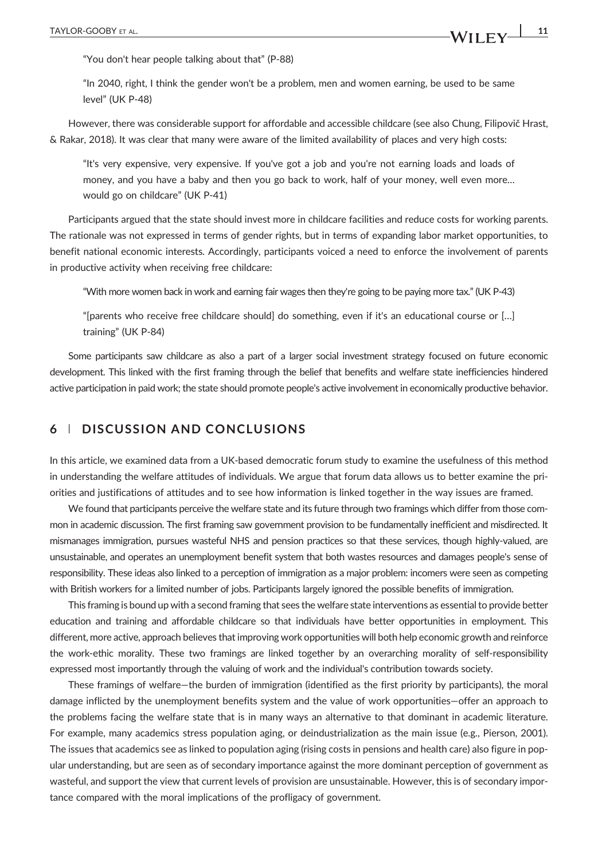"You don't hear people talking about that" (P‐88)

"In 2040, right, I think the gender won't be a problem, men and women earning, be used to be same level" (UK P‐48)

However, there was considerable support for affordable and accessible childcare (see also Chung, Filipovič Hrast, & Rakar, 2018). It was clear that many were aware of the limited availability of places and very high costs:

"It's very expensive, very expensive. If you've got a job and you're not earning loads and loads of money, and you have a baby and then you go back to work, half of your money, well even more… would go on childcare" (UK P‐41)

Participants argued that the state should invest more in childcare facilities and reduce costs for working parents. The rationale was not expressed in terms of gender rights, but in terms of expanding labor market opportunities, to benefit national economic interests. Accordingly, participants voiced a need to enforce the involvement of parents in productive activity when receiving free childcare:

"With more women back in work and earning fair wages then they're going to be paying more tax." (UK P‐43)

"[parents who receive free childcare should] do something, even if it's an educational course or […] training" (UK P‐84)

Some participants saw childcare as also a part of a larger social investment strategy focused on future economic development. This linked with the first framing through the belief that benefits and welfare state inefficiencies hindered active participation in paid work; the state should promote people's active involvement in economically productive behavior.

## 6 | DISCUSSION AND CONCLUSIONS

In this article, we examined data from a UK‐based democratic forum study to examine the usefulness of this method in understanding the welfare attitudes of individuals. We argue that forum data allows us to better examine the priorities and justifications of attitudes and to see how information is linked together in the way issues are framed.

We found that participants perceive the welfare state and its future through two framings which differ from those common in academic discussion. The first framing saw government provision to be fundamentally inefficient and misdirected. It mismanages immigration, pursues wasteful NHS and pension practices so that these services, though highly‐valued, are unsustainable, and operates an unemployment benefit system that both wastes resources and damages people's sense of responsibility. These ideas also linked to a perception of immigration as a major problem: incomers were seen as competing with British workers for a limited number of jobs. Participants largely ignored the possible benefits of immigration.

This framing is bound up with a second framing that sees the welfare state interventions as essential to provide better education and training and affordable childcare so that individuals have better opportunities in employment. This different, more active, approach believes that improving work opportunities will both help economic growth and reinforce the work‐ethic morality. These two framings are linked together by an overarching morality of self‐responsibility expressed most importantly through the valuing of work and the individual's contribution towards society.

These framings of welfare—the burden of immigration (identified as the first priority by participants), the moral damage inflicted by the unemployment benefits system and the value of work opportunities—offer an approach to the problems facing the welfare state that is in many ways an alternative to that dominant in academic literature. For example, many academics stress population aging, or deindustrialization as the main issue (e.g., Pierson, 2001). The issues that academics see as linked to population aging (rising costs in pensions and health care) also figure in popular understanding, but are seen as of secondary importance against the more dominant perception of government as wasteful, and support the view that current levels of provision are unsustainable. However, this is of secondary importance compared with the moral implications of the profligacy of government.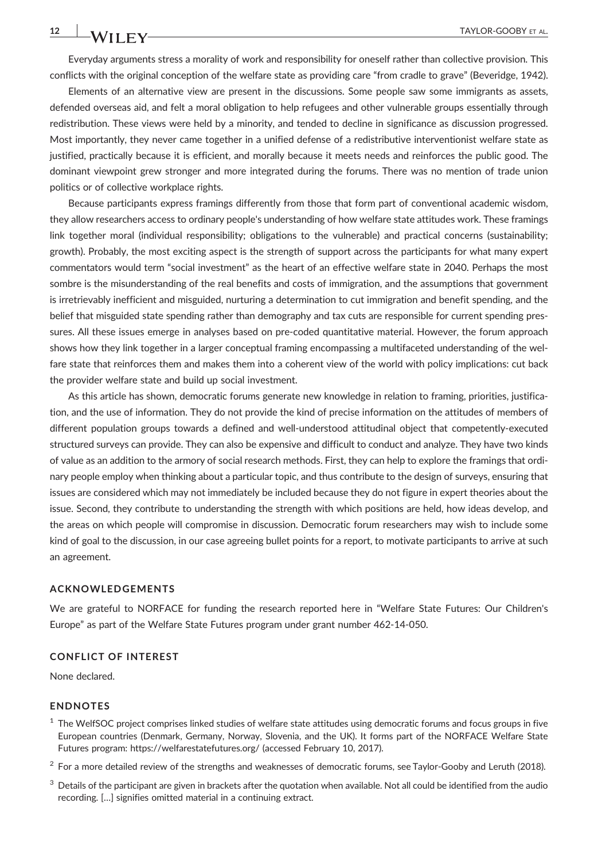Everyday arguments stress a morality of work and responsibility for oneself rather than collective provision. This conflicts with the original conception of the welfare state as providing care "from cradle to grave" (Beveridge, 1942).

Elements of an alternative view are present in the discussions. Some people saw some immigrants as assets, defended overseas aid, and felt a moral obligation to help refugees and other vulnerable groups essentially through redistribution. These views were held by a minority, and tended to decline in significance as discussion progressed. Most importantly, they never came together in a unified defense of a redistributive interventionist welfare state as justified, practically because it is efficient, and morally because it meets needs and reinforces the public good. The dominant viewpoint grew stronger and more integrated during the forums. There was no mention of trade union politics or of collective workplace rights.

Because participants express framings differently from those that form part of conventional academic wisdom, they allow researchers access to ordinary people's understanding of how welfare state attitudes work. These framings link together moral (individual responsibility; obligations to the vulnerable) and practical concerns (sustainability; growth). Probably, the most exciting aspect is the strength of support across the participants for what many expert commentators would term "social investment" as the heart of an effective welfare state in 2040. Perhaps the most sombre is the misunderstanding of the real benefits and costs of immigration, and the assumptions that government is irretrievably inefficient and misguided, nurturing a determination to cut immigration and benefit spending, and the belief that misguided state spending rather than demography and tax cuts are responsible for current spending pressures. All these issues emerge in analyses based on pre‐coded quantitative material. However, the forum approach shows how they link together in a larger conceptual framing encompassing a multifaceted understanding of the welfare state that reinforces them and makes them into a coherent view of the world with policy implications: cut back the provider welfare state and build up social investment.

As this article has shown, democratic forums generate new knowledge in relation to framing, priorities, justification, and the use of information. They do not provide the kind of precise information on the attitudes of members of different population groups towards a defined and well-understood attitudinal object that competently-executed structured surveys can provide. They can also be expensive and difficult to conduct and analyze. They have two kinds of value as an addition to the armory of social research methods. First, they can help to explore the framings that ordinary people employ when thinking about a particular topic, and thus contribute to the design of surveys, ensuring that issues are considered which may not immediately be included because they do not figure in expert theories about the issue. Second, they contribute to understanding the strength with which positions are held, how ideas develop, and the areas on which people will compromise in discussion. Democratic forum researchers may wish to include some kind of goal to the discussion, in our case agreeing bullet points for a report, to motivate participants to arrive at such an agreement.

#### ACKNOWLEDGEMENTS

We are grateful to NORFACE for funding the research reported here in "Welfare State Futures: Our Children's Europe" as part of the Welfare State Futures program under grant number 462‐14‐050.

## CONFLICT OF INTEREST

None declared.

#### ENDNOTES

 $1$  The WelfSOC project comprises linked studies of welfare state attitudes using democratic forums and focus groups in five European countries (Denmark, Germany, Norway, Slovenia, and the UK). It forms part of the NORFACE Welfare State Futures program:<https://welfarestatefutures.org>/ (accessed February 10, 2017).

 $2$  For a more detailed review of the strengths and weaknesses of democratic forums, see Taylor-Gooby and Leruth (2018).

 $3$  Details of the participant are given in brackets after the quotation when available. Not all could be identified from the audio recording. […] signifies omitted material in a continuing extract.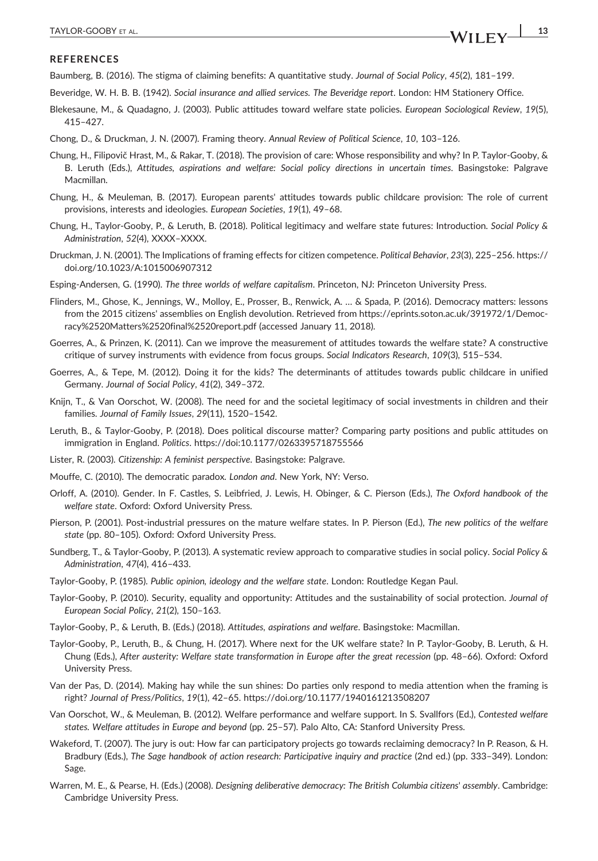#### REFERENCES

Baumberg, B. (2016). The stigma of claiming benefits: A quantitative study. *Journal of Social Policy*, *45*(2), 181–199.

Beveridge, W. H. B. B. (1942). *Social insurance and allied services. The Beveridge report*. London: HM Stationery Office.

- Blekesaune, M., & Quadagno, J. (2003). Public attitudes toward welfare state policies. *European Sociological Review*, *19*(5), 415–427.
- Chong, D., & Druckman, J. N. (2007). Framing theory. *Annual Review of Political Science*, *10*, 103–126.
- Chung, H., Filipovič Hrast, M., & Rakar, T. (2018). The provision of care: Whose responsibility and why? In P. Taylor‐Gooby, & B. Leruth (Eds.), *Attitudes, aspirations and welfare: Social policy directions in uncertain times*. Basingstoke: Palgrave Macmillan.
- Chung, H., & Meuleman, B. (2017). European parents' attitudes towards public childcare provision: The role of current provisions, interests and ideologies. *European Societies*, *19*(1), 49–68.
- Chung, H., Taylor‐Gooby, P., & Leruth, B. (2018). Political legitimacy and welfare state futures: Introduction. *Social Policy & Administration*, *52*(4), XXXX–XXXX.
- Druckman, J. N. (2001). The Implications of framing effects for citizen competence. *Political Behavior*, *23*(3), 225–256. [https://](https://doi.org/10.1023/A:1015006907312) [doi.org/10.1023/A:1015006907312](https://doi.org/10.1023/A:1015006907312)
- Esping‐Andersen, G. (1990). *The three worlds of welfare capitalism*. Princeton, NJ: Princeton University Press.
- Flinders, M., Ghose, K., Jennings, W., Molloy, E., Prosser, B., Renwick, A. … & Spada, P. (2016). Democracy matters: lessons from the 2015 citizens' assemblies on English devolution. Retrieved from [https://eprints.soton.ac.uk/391972/1/Democ](https://eprints.soton.ac.uk/391972/1/Democracy%2520Matters%2520final%2520report.pdf)[racy%2520Matters%2520final%2520report.pdf](https://eprints.soton.ac.uk/391972/1/Democracy%2520Matters%2520final%2520report.pdf) (accessed January 11, 2018).
- Goerres, A., & Prinzen, K. (2011). Can we improve the measurement of attitudes towards the welfare state? A constructive critique of survey instruments with evidence from focus groups. *Social Indicators Research*, *109*(3), 515–534.
- Goerres, A., & Tepe, M. (2012). Doing it for the kids? The determinants of attitudes towards public childcare in unified Germany. *Journal of Social Policy*, *41*(2), 349–372.
- Knijn, T., & Van Oorschot, W. (2008). The need for and the societal legitimacy of social investments in children and their families. *Journal of Family Issues*, *29*(11), 1520–1542.
- Leruth, B., & Taylor‐Gooby, P. (2018). Does political discourse matter? Comparing party positions and public attitudes on immigration in England. *Politics*.<https://doi:10.1177/0263395718755566>
- Lister, R. (2003). *Citizenship: A feminist perspective*. Basingstoke: Palgrave.
- Mouffe, C. (2010). The democratic paradox*. London and*. New York, NY: Verso.
- Orloff, A. (2010). Gender. In F. Castles, S. Leibfried, J. Lewis, H. Obinger, & C. Pierson (Eds.), *The Oxford handbook of the welfare state*. Oxford: Oxford University Press.
- Pierson, P. (2001). Post‐industrial pressures on the mature welfare states. In P. Pierson (Ed.), *The new politics of the welfare state* (pp. 80–105). Oxford: Oxford University Press.
- Sundberg, T., & Taylor‐Gooby, P. (2013). A systematic review approach to comparative studies in social policy. *Social Policy & Administration*, *47*(4), 416–433.
- Taylor‐Gooby, P. (1985). *Public opinion, ideology and the welfare state*. London: Routledge Kegan Paul.
- Taylor‐Gooby, P. (2010). Security, equality and opportunity: Attitudes and the sustainability of social protection. *Journal of European Social Policy*, *21*(2), 150–163.
- Taylor‐Gooby, P., & Leruth, B. (Eds.) (2018). *Attitudes, aspirations and welfare*. Basingstoke: Macmillan.
- Taylor‐Gooby, P., Leruth, B., & Chung, H. (2017). Where next for the UK welfare state? In P. Taylor‐Gooby, B. Leruth, & H. Chung (Eds.), *After austerity: Welfare state transformation in Europe after the great recession* (pp. 48–66). Oxford: Oxford University Press.
- Van der Pas, D. (2014). Making hay while the sun shines: Do parties only respond to media attention when the framing is right? *Journal of Press/Politics*, *19*(1), 42–65.<https://doi.org/10.1177/1940161213508207>
- Van Oorschot, W., & Meuleman, B. (2012). Welfare performance and welfare support. In S. Svallfors (Ed.), *Contested welfare states. Welfare attitudes in Europe and beyond* (pp. 25–57). Palo Alto, CA: Stanford University Press.
- Wakeford, T. (2007). The jury is out: How far can participatory projects go towards reclaiming democracy? In P. Reason, & H. Bradbury (Eds.), *The Sage handbook of action research: Participative inquiry and practice* (2nd ed.) (pp. 333–349). London: Sage.
- Warren, M. E., & Pearse, H. (Eds.) (2008). *Designing deliberative democracy: The British Columbia citizens*' *assembly*. Cambridge: Cambridge University Press.